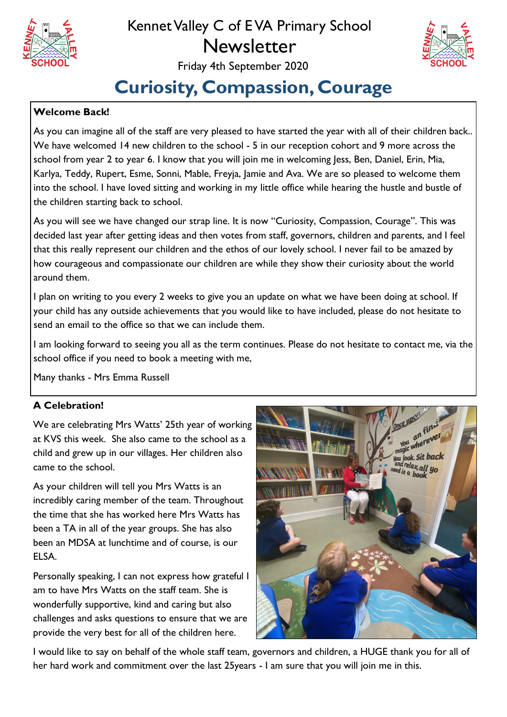

# Kennet Valley C of E VA Primary School **Newsletter**



### Friday 4th September 2020

# **Curiosity, Compassion, Courage**

#### **Welcome Back!**

As you can imagine all of the staff are very pleased to have started the year with all of their children back.. We have welcomed 14 new children to the school - 5 in our reception cohort and 9 more across the school from year 2 to year 6. I know that you will join me in welcoming Jess, Ben, Daniel, Erin, Mia, Karlya, Teddy, Rupert, Esme, Sonni, Mable, Freyja, Jamie and Ava. We are so pleased to welcome them into the school. I have loved sitting and working in my little office while hearing the hustle and bustle of the children starting back to school.

As you will see we have changed our strap line. It is now "Curiosity, Compassion, Courage". This was decided last year after getting ideas and then votes from staff, governors, children and parents, and I feel that this really represent our children and the ethos of our lovely school. I never fail to be amazed by how courageous and compassionate our children are while they show their curiosity about the world around them.

I plan on writing to you every 2 weeks to give you an update on what we have been doing at school. If your child has any outside achievements that you would like to have included, please do not hesitate to send an email to the office so that we can include them.

I am looking forward to seeing you all as the term continues. Please do not hesitate to contact me, via the school office if you need to book a meeting with me,

Many thanks - Mrs Emma Russell

#### **A Celebration!**

We are celebrating Mrs Watts' 25th year of working at KVS this week. She also came to the school as a child and grew up in our villages. Her children also came to the school.

As your children will tell you Mrs Watts is an incredibly caring member of the team. Throughout the time that she has worked here Mrs Watts has been a TA in all of the year groups. She has also been an MDSA at lunchtime and of course, is our ELSA.

Personally speaking, I can not express how grateful I am to have Mrs Watts on the staff team. She is wonderfully supportive, kind and caring but also challenges and asks questions to ensure that we are provide the very best for all of the children here.



I would like to say on behalf of the whole staff team, governors and children, a HUGE thank you for all of her hard work and commitment over the last 25years - I am sure that you will join me in this.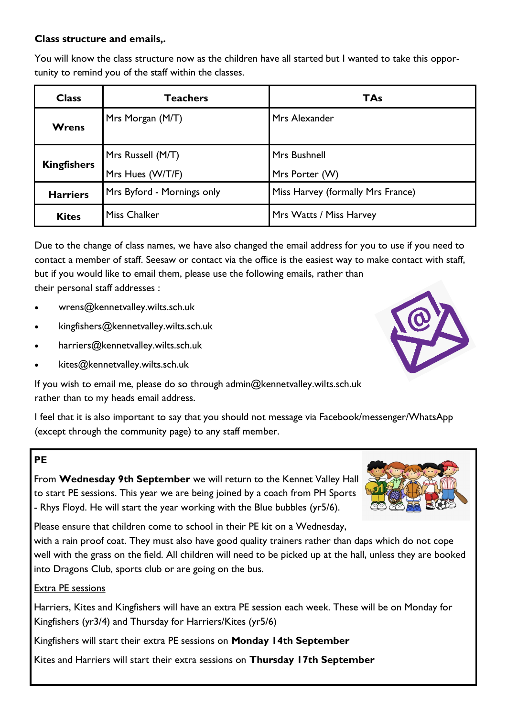### **Class structure and emails,.**

You will know the class structure now as the children have all started but I wanted to take this opportunity to remind you of the staff within the classes.

| <b>Class</b>       | <b>Teachers</b>            | <b>TAs</b>                        |  |
|--------------------|----------------------------|-----------------------------------|--|
| <b>Wrens</b>       | Mrs Morgan (M/T)           | Mrs Alexander                     |  |
| <b>Kingfishers</b> | Mrs Russell (M/T)          | Mrs Bushnell                      |  |
|                    | Mrs Hues (W/T/F)           | Mrs Porter (W)                    |  |
| <b>Harriers</b>    | Mrs Byford - Mornings only | Miss Harvey (formally Mrs France) |  |
| <b>Kites</b>       | <b>Miss Chalker</b>        | Mrs Watts / Miss Harvey           |  |

Due to the change of class names, we have also changed the email address for you to use if you need to contact a member of staff. Seesaw or contact via the office is the easiest way to make contact with staff, but if you would like to email them, please use the following emails, rather than their personal staff addresses :

- wrens@kennetvalley.wilts.sch.uk
- kingfishers@kennetvalley.wilts.sch.uk
- harriers@kennetvalley.wilts.sch.uk
- kites@kennetvalley.wilts.sch.uk

If you wish to email me, please do so through admin@kennetvalley.wilts.sch.uk rather than to my heads email address.

I feel that it is also important to say that you should not message via Facebook/messenger/WhatsApp (except through the community page) to any staff member.

#### **PE**

From **Wednesday 9th September** we will return to the Kennet Valley Hall to start PE sessions. This year we are being joined by a coach from PH Sports - Rhys Floyd. He will start the year working with the Blue bubbles (yr5/6).

Please ensure that children come to school in their PE kit on a Wednesday,

with a rain proof coat. They must also have good quality trainers rather than daps which do not cope well with the grass on the field. All children will need to be picked up at the hall, unless they are booked into Dragons Club, sports club or are going on the bus.

#### Extra PE sessions

Harriers, Kites and Kingfishers will have an extra PE session each week. These will be on Monday for Kingfishers (yr3/4) and Thursday for Harriers/Kites (yr5/6)

Kingfishers will start their extra PE sessions on **Monday 14th September**

Kites and Harriers will start their extra sessions on **Thursday 17th September**



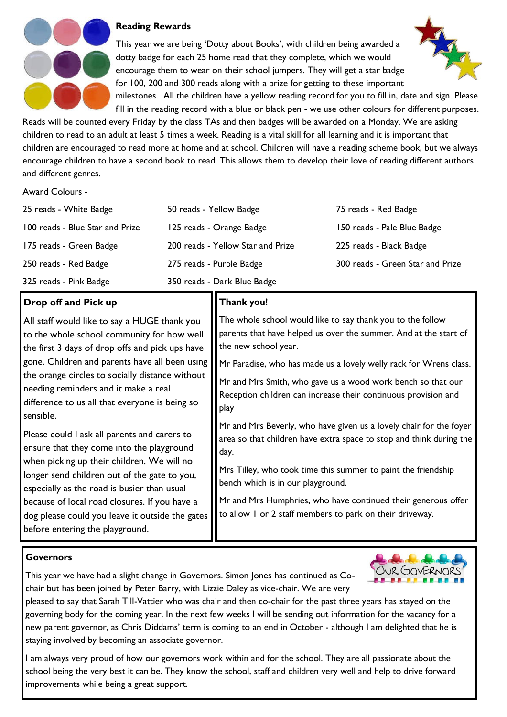

#### **Reading Rewards**

This year we are being 'Dotty about Books', with children being awarded a dotty badge for each 25 home read that they complete, which we would encourage them to wear on their school jumpers. They will get a star badge for 100, 200 and 300 reads along with a prize for getting to these important milestones. All the children have a yellow reading record for you to fill in, date and sign. Please



fill in the reading record with a blue or black pen - we use other colours for different purposes. Reads will be counted every Friday by the class TAs and then badges will be awarded on a Monday. We are asking children to read to an adult at least 5 times a week. Reading is a vital skill for all learning and it is important that children are encouraged to read more at home and at school. Children will have a reading scheme book, but we always encourage children to have a second book to read. This allows them to develop their love of reading different authors and different genres.

#### Award Colours -

| 25 reads - White Badge          | 50 reads - Yellow Badge           | 75 reads - Red Badge             |
|---------------------------------|-----------------------------------|----------------------------------|
| 100 reads - Blue Star and Prize | 125 reads - Orange Badge          | 150 reads - Pale Blue Badge      |
| 175 reads - Green Badge         | 200 reads - Yellow Star and Prize | 225 reads - Black Badge          |
| 250 reads - Red Badge           | 275 reads - Purple Badge          | 300 reads - Green Star and Prize |
| 325 reads - Pink Badge          | 350 reads - Dark Blue Badge       |                                  |

**Thank you!**

play

day.

the new school year.

bench which is in our playground.

The whole school would like to say thank you to the follow parents that have helped us over the summer. And at the start of

Mr Paradise, who has made us a lovely welly rack for Wrens class.

Mr and Mrs Beverly, who have given us a lovely chair for the foyer area so that children have extra space to stop and think during the

Mrs Tilley, who took time this summer to paint the friendship

to allow 1 or 2 staff members to park on their driveway.

Mr and Mrs Humphries, who have continued their generous offer

Mr and Mrs Smith, who gave us a wood work bench so that our Reception children can increase their continuous provision and

#### **Drop off and Pick up**

All staff would like to say a HUGE thank you to the whole school community for how well the first 3 days of drop offs and pick ups have gone. Children and parents have all been using the orange circles to socially distance without needing reminders and it make a real difference to us all that everyone is being so sensible.

Please could I ask all parents and carers to ensure that they come into the playground when picking up their children. We will no longer send children out of the gate to you, especially as the road is busier than usual because of local road closures. If you have a dog please could you leave it outside the gates before entering the playground.

#### **Governors**

This year we have had a slight change in Governors. Simon Jones has continued as Cochair but has been joined by Peter Barry, with Lizzie Daley as vice-chair. We are very



pleased to say that Sarah Till-Vattier who was chair and then co-chair for the past three years has stayed on the governing body for the coming year. In the next few weeks I will be sending out information for the vacancy for a new parent governor, as Chris Diddams' term is coming to an end in October - although I am delighted that he is staying involved by becoming an associate governor.

I am always very proud of how our governors work within and for the school. They are all passionate about the school being the very best it can be. They know the school, staff and children very well and help to drive forward improvements while being a great support.